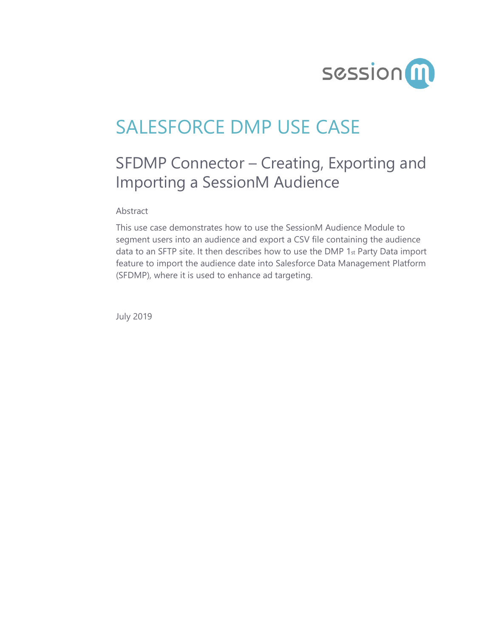

# SALESFORCE DMP USE CASE

## SFDMP Connector – Creating, Exporting and Importing a SessionM Audience

Abstract

This use case demonstrates how to use the SessionM Audience Module to segment users into an audience and export a CSV file containing the audience data to an SFTP site. It then describes how to use the DMP 1st Party Data import feature to import the audience date into Salesforce Data Management Platform (SFDMP), where it is used to enhance ad targeting.

July 2019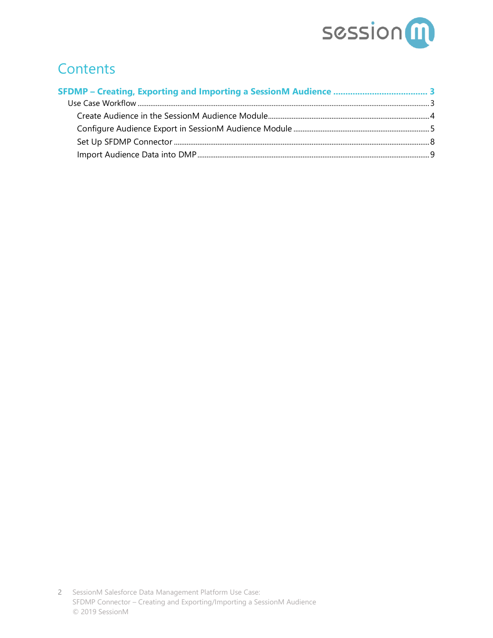

### **Contents**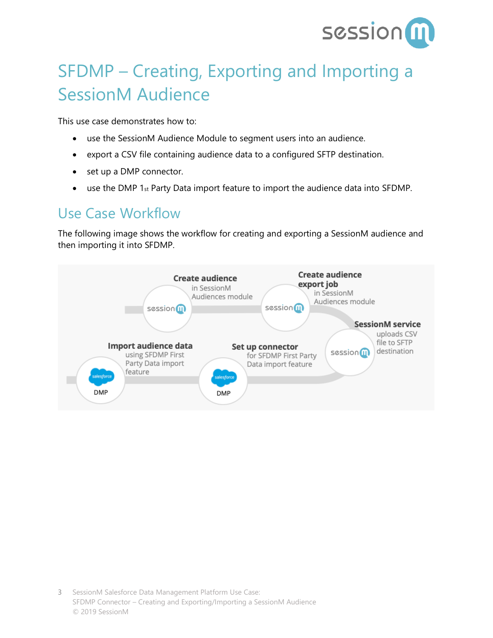

# <span id="page-2-0"></span>SFDMP – Creating, Exporting and Importing a SessionM Audience

This use case demonstrates how to:

- use the SessionM Audience Module to segment users into an audience.
- export a CSV file containing audience data to a configured SFTP destination.
- set up a DMP connector.
- use the DMP 1st Party Data import feature to import the audience data into SFDMP.

### <span id="page-2-1"></span>Use Case Workflow

The following image shows the workflow for creating and exporting a SessionM audience and then importing it into SFDMP.

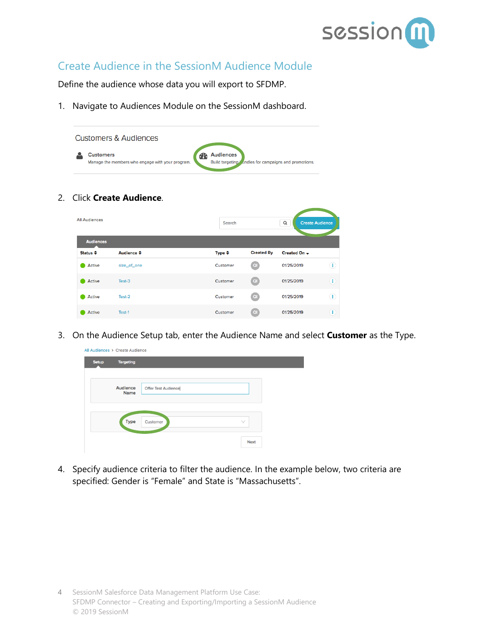

#### <span id="page-3-0"></span>Create Audience in the SessionM Audience Module

Define the audience whose data you will export to SFDMP.

1. Navigate to Audiences Module on the SessionM dashboard.



2. Click **Create Audience**.

| <b>All Audiences</b> |                      |                   | Search               |                   | Q<br><b>Create Audience</b> |  |
|----------------------|----------------------|-------------------|----------------------|-------------------|-----------------------------|--|
| <b>Audiences</b>     |                      |                   |                      |                   |                             |  |
| Status ≑             | Audience $\triangle$ | Type $\triangleq$ | <b>Created By</b>    | Created On $\sim$ |                             |  |
| Active               | size_of_one          |                   | Customer<br>OI.      | 01/25/2019        | Ŧ                           |  |
| Active               | Test-3               |                   | Customer<br>ାର       | 01/25/2019        | Đ                           |  |
| Active               | Test-2               |                   | Customer<br>ା        | 01/25/2019        | Œ                           |  |
| <b>Active</b>        | Test-1               |                   | Customer<br><b>ା</b> | 01/25/2019        | Ð                           |  |

3. On the Audience Setup tab, enter the Audience Name and select **Customer** as the Type.

| <b>Setup</b> | <b>Targeting</b>        |                            |              |  |
|--------------|-------------------------|----------------------------|--------------|--|
|              | Audience<br><b>Name</b> | <b>Offer Test Audience</b> |              |  |
|              | <b>Type</b>             | Customer                   | $\checkmark$ |  |
|              |                         |                            | <b>Next</b>  |  |

4. Specify audience criteria to filter the audience. In the example below, two criteria are specified: Gender is "Female" and State is "Massachusetts".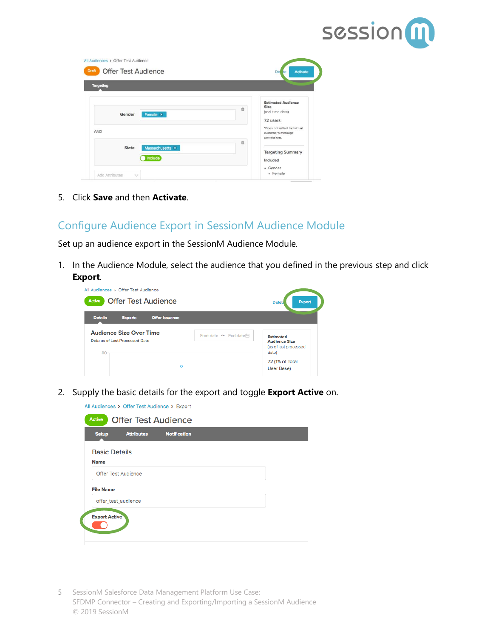

| <b>Offer Test Audience</b><br><b>Draft</b> | Activate<br>Del<br>łρ                                              |
|--------------------------------------------|--------------------------------------------------------------------|
| <b>Targeting</b>                           |                                                                    |
| ä<br>Female X<br>Gender                    | <b>Estimated Audience</b><br>Size<br>(real-time data)<br>72 users  |
| AND<br>亩                                   | *Does not reflect individual<br>customer's message<br>permissions. |
| Massachusetts X<br><b>State</b><br>Include | <b>Targeting Summary</b><br>Included                               |
| Add Attributes<br>$\sqrt{}$                | · Gender<br>· Female                                               |

5. Click **Save** and then **Activate**.

### <span id="page-4-0"></span>Configure Audience Export in SessionM Audience Module

Set up an audience export in the SessionM Audience Module.

1. In the Audience Module, select the audience that you defined in the previous step and click **Export**.



2. Supply the basic details for the export and toggle **Export Active** on.



5 SessionM Salesforce Data Management Platform Use Case: SFDMP Connector – Creating and Exporting/Importing a SessionM Audience © 2019 SessionM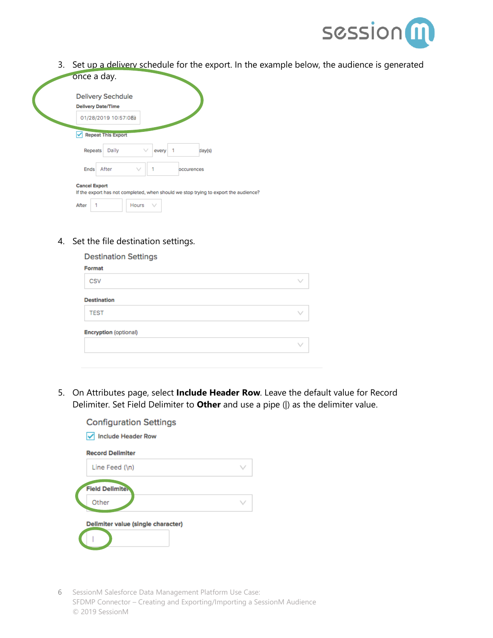

3. Set up a delivery schedule for the export. In the example below, the audience is generated

| once a day.                                                                                                 |
|-------------------------------------------------------------------------------------------------------------|
| <b>Delivery Sechdule</b><br><b>Delivery Date/Time</b>                                                       |
| 01/28/2019 10:57:08a                                                                                        |
| <b>Repeat This Export</b><br>Daily<br>Repeats<br>$\overline{1}$<br>day(s)<br>every                          |
| After<br><b>Ends</b><br>occurences                                                                          |
| <b>Cancel Export</b><br>If the export has not completed, when should we stop trying to export the audience? |
| After<br>Hours<br>v                                                                                         |

4. Set the file destination settings.

| <b>Destination Settings</b>  |  |
|------------------------------|--|
| Format                       |  |
| CSV                          |  |
| <b>Destination</b>           |  |
| <b>TEST</b>                  |  |
| <b>Encryption (optional)</b> |  |
|                              |  |
|                              |  |

5. On Attributes page, select **Include Header Row**. Leave the default value for Record Delimiter. Set Field Delimiter to **Other** and use a pipe (|) as the delimiter value.



6 SessionM Salesforce Data Management Platform Use Case: SFDMP Connector – Creating and Exporting/Importing a SessionM Audience © 2019 SessionM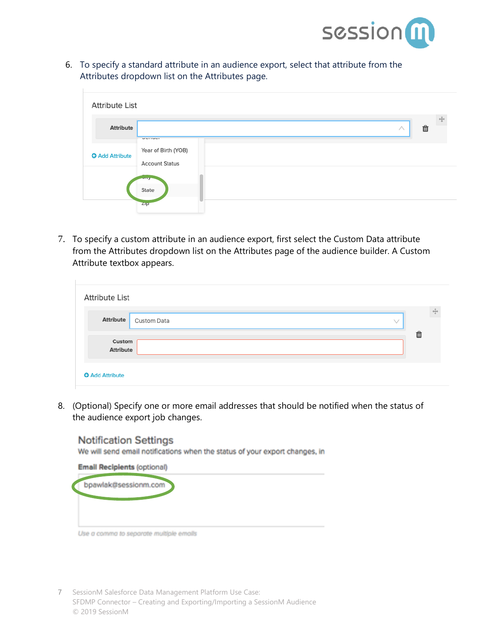

6. To specify a standard attribute in an audience export, select that attribute from the Attributes dropdown list on the Attributes page.

| <b>Attribute List</b>  |                                              |  |
|------------------------|----------------------------------------------|--|
| <b>Attribute</b>       | û<br>л<br><b>MARINER</b>                     |  |
| <b>O</b> Add Attribute | Year of Birth (YOB)<br><b>Account Status</b> |  |
|                        | <b>STATISTICS</b><br>State<br>$2\pi$         |  |

7. To specify a custom attribute in an audience export, first select the Custom Data attribute from the Attributes dropdown list on the Attributes page of the audience builder. A Custom Attribute textbox appears.

| <b>Attribute List</b>      |             |   |   |
|----------------------------|-------------|---|---|
| <b>Attribute</b>           | Custom Data |   | ⊕ |
| Custom<br><b>Attribute</b> |             | ⋔ |   |
| <b>O</b> Add Attribute     |             |   |   |

8. (Optional) Specify one or more email addresses that should be notified when the status of the audience export job changes.



- 
- 7 SessionM Salesforce Data Management Platform Use Case: SFDMP Connector – Creating and Exporting/Importing a SessionM Audience © 2019 SessionM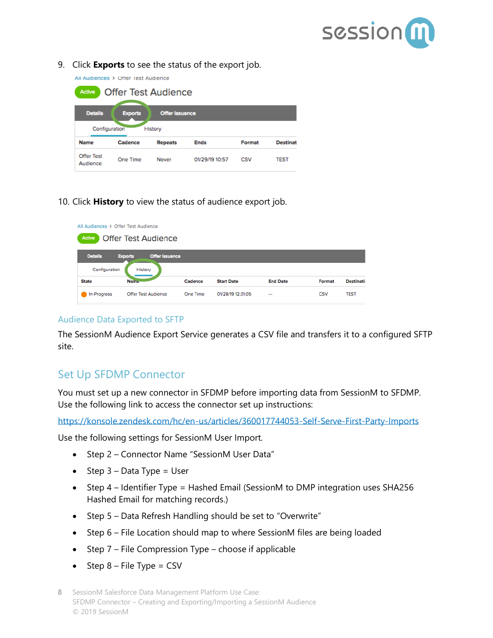

9. Click **Exports** to see the status of the export job.

| All Audiences > Offer Test Audience |                                         |                |                |            |                 |  |  |  |
|-------------------------------------|-----------------------------------------|----------------|----------------|------------|-----------------|--|--|--|
| Active                              | <b>Offer Test Audience</b>              |                |                |            |                 |  |  |  |
| <b>Details</b>                      | <b>Offer Issuance</b><br><b>Exports</b> |                |                |            |                 |  |  |  |
|                                     | Configuration<br>History                |                |                |            |                 |  |  |  |
| <b>Name</b>                         | Cadence                                 | <b>Repeats</b> | <b>Ends</b>    | Format     | <b>Destinat</b> |  |  |  |
| <b>Offer Test</b><br>Audience       | One Time                                | Never          | 01/29/19 10:57 | <b>CSV</b> | TEST            |  |  |  |

10. Click **History** to view the status of audience export job.

| All Audiences > Offer Test Audience |                                         |          |                   |                          |            |                  |
|-------------------------------------|-----------------------------------------|----------|-------------------|--------------------------|------------|------------------|
| Active                              | <b>Offer Test Audience</b>              |          |                   |                          |            |                  |
| <b>Details</b>                      | <b>Offer Issuance</b><br><b>Exports</b> |          |                   |                          |            |                  |
| Configuration                       | History                                 |          |                   |                          |            |                  |
| <b>State</b>                        | <b>Name</b>                             | Cadence  | <b>Start Date</b> | <b>End Date</b>          | Format     | <b>Destinati</b> |
| In-Progress                         | Offer Test Audience                     | One Time | 01/28/19 12:31:05 | $\overline{\phantom{a}}$ | <b>CSV</b> | <b>TEST</b>      |

#### Audience Data Exported to SFTP

The SessionM Audience Export Service generates a CSV file and transfers it to a configured SFTP site.

#### <span id="page-7-0"></span>Set Up SFDMP Connector

You must set up a new connector in SFDMP before importing data from SessionM to SFDMP. Use the following link to access the connector set up instructions:

<https://konsole.zendesk.com/hc/en-us/articles/360017744053-Self-Serve-First-Party-Imports>

Use the following settings for SessionM User Import.

- Step 2 Connector Name "SessionM User Data"
- Step  $3 Data Type = User$
- Step 4 Identifier Type = Hashed Email (SessionM to DMP integration uses SHA256 Hashed Email for matching records.)
- Step 5 Data Refresh Handling should be set to "Overwrite"
- Step 6 File Location should map to where SessionM files are being loaded
- Step 7 File Compression Type choose if applicable
- Step  $8$  File Type = CSV
- 8 SessionM Salesforce Data Management Platform Use Case: SFDMP Connector – Creating and Exporting/Importing a SessionM Audience © 2019 SessionM